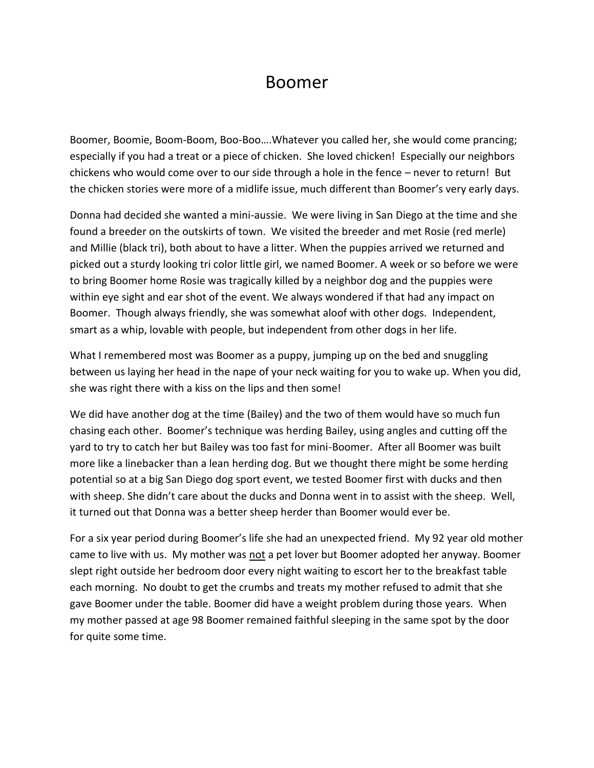## Boomer

Boomer, Boomie, Boom-Boom, Boo-Boo….Whatever you called her, she would come prancing; especially if you had a treat or a piece of chicken. She loved chicken! Especially our neighbors chickens who would come over to our side through a hole in the fence – never to return! But the chicken stories were more of a midlife issue, much different than Boomer's very early days.

Donna had decided she wanted a mini-aussie. We were living in San Diego at the time and she found a breeder on the outskirts of town. We visited the breeder and met Rosie (red merle) and Millie (black tri), both about to have a litter. When the puppies arrived we returned and picked out a sturdy looking tri color little girl, we named Boomer. A week or so before we were to bring Boomer home Rosie was tragically killed by a neighbor dog and the puppies were within eye sight and ear shot of the event. We always wondered if that had any impact on Boomer. Though always friendly, she was somewhat aloof with other dogs. Independent, smart as a whip, lovable with people, but independent from other dogs in her life.

What I remembered most was Boomer as a puppy, jumping up on the bed and snuggling between us laying her head in the nape of your neck waiting for you to wake up. When you did, she was right there with a kiss on the lips and then some!

We did have another dog at the time (Bailey) and the two of them would have so much fun chasing each other. Boomer's technique was herding Bailey, using angles and cutting off the yard to try to catch her but Bailey was too fast for mini-Boomer. After all Boomer was built more like a linebacker than a lean herding dog. But we thought there might be some herding potential so at a big San Diego dog sport event, we tested Boomer first with ducks and then with sheep. She didn't care about the ducks and Donna went in to assist with the sheep. Well, it turned out that Donna was a better sheep herder than Boomer would ever be.

For a six year period during Boomer's life she had an unexpected friend. My 92 year old mother came to live with us. My mother was not a pet lover but Boomer adopted her anyway. Boomer slept right outside her bedroom door every night waiting to escort her to the breakfast table each morning. No doubt to get the crumbs and treats my mother refused to admit that she gave Boomer under the table. Boomer did have a weight problem during those years. When my mother passed at age 98 Boomer remained faithful sleeping in the same spot by the door for quite some time.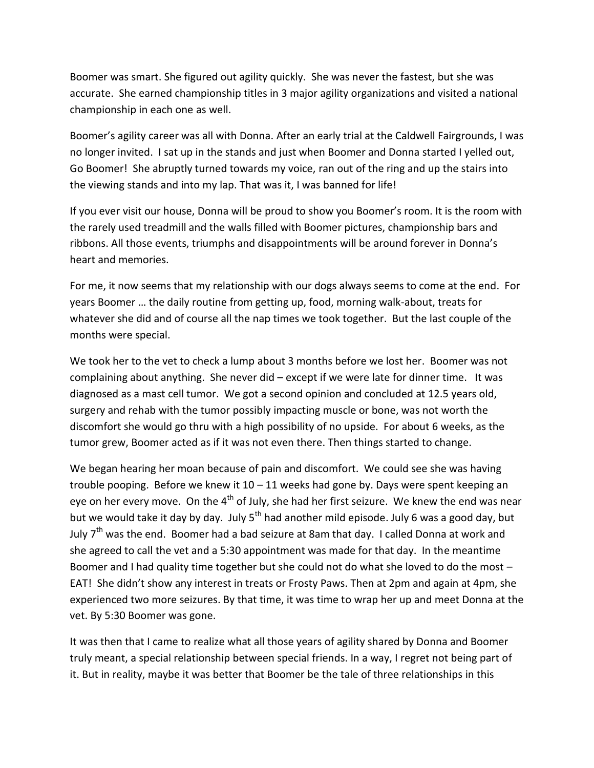Boomer was smart. She figured out agility quickly. She was never the fastest, but she was accurate. She earned championship titles in 3 major agility organizations and visited a national championship in each one as well.

Boomer's agility career was all with Donna. After an early trial at the Caldwell Fairgrounds, I was no longer invited. I sat up in the stands and just when Boomer and Donna started I yelled out, Go Boomer! She abruptly turned towards my voice, ran out of the ring and up the stairs into the viewing stands and into my lap. That was it, I was banned for life!

If you ever visit our house, Donna will be proud to show you Boomer's room. It is the room with the rarely used treadmill and the walls filled with Boomer pictures, championship bars and ribbons. All those events, triumphs and disappointments will be around forever in Donna's heart and memories.

For me, it now seems that my relationship with our dogs always seems to come at the end. For years Boomer … the daily routine from getting up, food, morning walk-about, treats for whatever she did and of course all the nap times we took together. But the last couple of the months were special.

We took her to the vet to check a lump about 3 months before we lost her. Boomer was not complaining about anything. She never did – except if we were late for dinner time. It was diagnosed as a mast cell tumor. We got a second opinion and concluded at 12.5 years old, surgery and rehab with the tumor possibly impacting muscle or bone, was not worth the discomfort she would go thru with a high possibility of no upside. For about 6 weeks, as the tumor grew, Boomer acted as if it was not even there. Then things started to change.

We began hearing her moan because of pain and discomfort. We could see she was having trouble pooping. Before we knew it  $10 - 11$  weeks had gone by. Days were spent keeping an eye on her every move. On the  $4<sup>th</sup>$  of July, she had her first seizure. We knew the end was near but we would take it day by day. July  $5<sup>th</sup>$  had another mild episode. July 6 was a good day, but July  $7<sup>th</sup>$  was the end. Boomer had a bad seizure at 8am that day. I called Donna at work and she agreed to call the vet and a 5:30 appointment was made for that day. In the meantime Boomer and I had quality time together but she could not do what she loved to do the most – EAT! She didn't show any interest in treats or Frosty Paws. Then at 2pm and again at 4pm, she experienced two more seizures. By that time, it was time to wrap her up and meet Donna at the vet. By 5:30 Boomer was gone.

It was then that I came to realize what all those years of agility shared by Donna and Boomer truly meant, a special relationship between special friends. In a way, I regret not being part of it. But in reality, maybe it was better that Boomer be the tale of three relationships in this